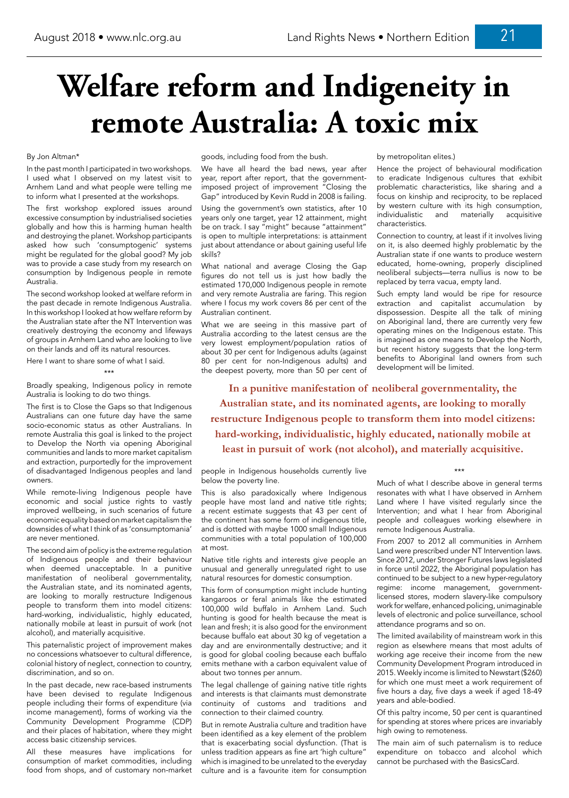## By Jon Altman\*

In the past month I participated in two workshops. I used what I observed on my latest visit to Arnhem Land and what people were telling me to inform what I presented at the workshops.

The first workshop explored issues around excessive consumption by industrialised societies globally and how this is harming human health and destroying the planet. Workshop participants asked how such 'consumptogenic' systems might be regulated for the global good? My job was to provide a case study from my research on consumption by Indigenous people in remote Australia.

The second workshop looked at welfare reform in the past decade in remote Indigenous Australia. In this workshop I looked at how welfare reform by the Australian state after the NT Intervention was creatively destroying the economy and lifeways of groups in Arnhem Land who are looking to live on their lands and off its natural resources.

Here I want to share some of what I said.

## \*\*\*

Broadly speaking, Indigenous policy in remote Australia is looking to do two things.

The first is to Close the Gaps so that Indigenous Australians can one future day have the same socio-economic status as other Australians. In remote Australia this goal is linked to the project to Develop the North via opening Aboriginal communities and lands to more market capitalism and extraction, purportedly for the improvement of disadvantaged Indigenous peoples and land owners.

While remote-living Indigenous people have economic and social justice rights to vastly improved wellbeing, in such scenarios of future economic equality based on market capitalism the downsides of what I think of as 'consumptomania' are never mentioned.

The second aim of policy is the extreme regulation of Indigenous people and their behaviour when deemed unacceptable. In a punitive manifestation of neoliberal governmentality, the Australian state, and its nominated agents, are looking to morally restructure Indigenous people to transform them into model citizens: hard-working, individualistic, highly educated, nationally mobile at least in pursuit of work (not alcohol), and materially acquisitive.

This paternalistic project of improvement makes no concessions whatsoever to cultural difference, colonial history of neglect, connection to country, discrimination, and so on.

In the past decade, new race-based instruments have been devised to regulate Indigenous people including their forms of expenditure (via income management), forms of working via the Community Development Programme (CDP) and their places of habitation, where they might access basic citizenship services.

All these measures have implications for consumption of market commodities, including food from shops, and of customary non-market

## **Welfare reform and Indigeneity in remote Australia: A toxic mix**

goods, including food from the bush.

We have all heard the bad news, year after year, report after report, that the governmentimposed project of improvement "Closing the Gap" introduced by Kevin Rudd in 2008 is failing.

Using the government's own statistics, after 10 years only one target, year 12 attainment, might be on track. I say "might" because "attainment" is open to multiple interpretations: is attainment just about attendance or about gaining useful life skills?

What national and average Closing the Gap figures do not tell us is just how badly the estimated 170,000 Indigenous people in remote and very remote Australia are faring. This region where I focus my work covers 86 per cent of the Australian continent.

What we are seeing in this massive part of Australia according to the latest census are the very lowest employment/population ratios of about 30 per cent for Indigenous adults (against 80 per cent for non-Indigenous adults) and the deepest poverty, more than 50 per cent of

people in Indigenous households currently live below the poverty line.

This is also paradoxically where Indigenous people have most land and native title rights; a recent estimate suggests that 43 per cent of the continent has some form of indigenous title, and is dotted with maybe 1000 small Indigenous communities with a total population of 100,000 at most.

Native title rights and interests give people an unusual and generally unregulated right to use natural resources for domestic consumption.

This form of consumption might include hunting kangaroos or feral animals like the estimated 100,000 wild buffalo in Arnhem Land. Such hunting is good for health because the meat is lean and fresh; it is also good for the environment because buffalo eat about 30 kg of vegetation a day and are environmentally destructive; and it is good for global cooling because each buffalo emits methane with a carbon equivalent value of about two tonnes per annum.

The legal challenge of gaining native title rights and interests is that claimants must demonstrate continuity of customs and traditions and connection to their claimed country.

But in remote Australia culture and tradition have been identified as a key element of the problem that is exacerbating social dysfunction. (That is unless tradition appears as fine art 'high culture" which is imagined to be unrelated to the everyday culture and is a favourite item for consumption

## by metropolitan elites.)

Hence the project of behavioural modification to eradicate Indigenous cultures that exhibit problematic characteristics, like sharing and a focus on kinship and reciprocity, to be replaced by western culture with its high consumption, individualistic and materially acquisitive characteristics.

Connection to country, at least if it involves living on it, is also deemed highly problematic by the Australian state if one wants to produce western educated, home-owning, properly disciplined neoliberal subjects—terra nullius is now to be replaced by terra vacua, empty land.

Such empty land would be ripe for resource extraction and capitalist accumulation by dispossession. Despite all the talk of mining on Aboriginal land, there are currently very few operating mines on the Indigenous estate. This is imagined as one means to Develop the North, but recent history suggests that the long-term benefits to Aboriginal land owners from such development will be limited.

\*\*\*

Much of what I describe above in general terms resonates with what I have observed in Arnhem Land where I have visited regularly since the Intervention; and what I hear from Aboriginal people and colleagues working elsewhere in remote Indigenous Australia.

From 2007 to 2012 all communities in Arnhem Land were prescribed under NT Intervention laws. Since 2012, under Stronger Futures laws legislated in force until 2022, the Aboriginal population has continued to be subject to a new hyper-regulatory regime: income management, governmentlicensed stores, modern slavery-like compulsory work for welfare, enhanced policing, unimaginable levels of electronic and police surveillance, school attendance programs and so on.

The limited availability of mainstream work in this region as elsewhere means that most adults of working age receive their income from the new Community Development Program introduced in 2015. Weekly income is limited to Newstart (\$260) for which one must meet a work requirement of five hours a day, five days a week if aged 18-49 years and able-bodied.

Of this paltry income, 50 per cent is quarantined for spending at stores where prices are invariably high owing to remoteness.

The main aim of such paternalism is to reduce expenditure on tobacco and alcohol which cannot be purchased with the BasicsCard.

**In a punitive manifestation of neoliberal governmentality, the Australian state, and its nominated agents, are looking to morally restructure Indigenous people to transform them into model citizens: hard-working, individualistic, highly educated, nationally mobile at least in pursuit of work (not alcohol), and materially acquisitive.**